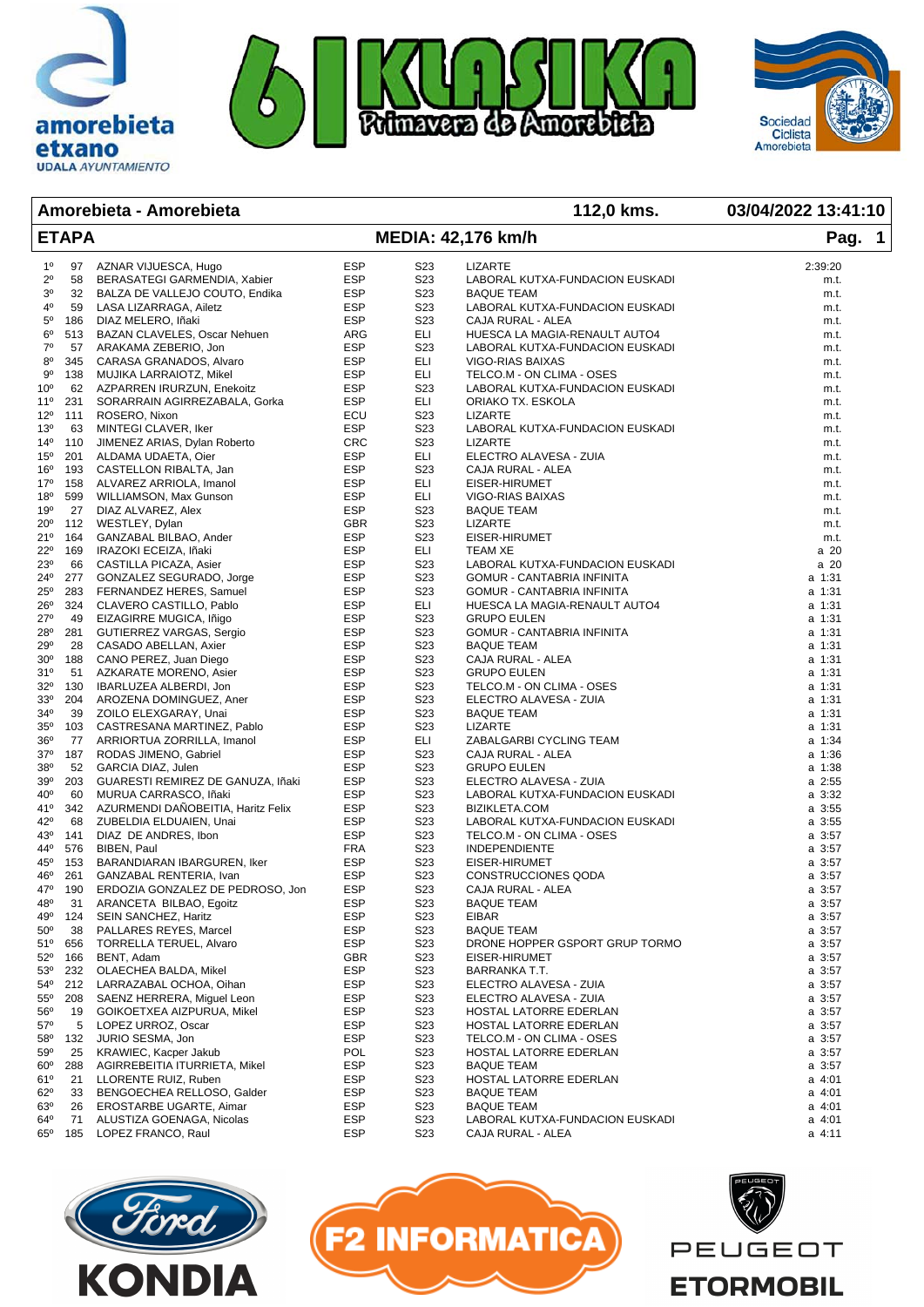



## **Amorebieta - Amorebieta 112,0 kms. 03/04/2022 13:41:10**

amorebieta

etxano **UDALA AYUNTAMIENTO** 

| <b>ETAPA</b>               |            |                                                       |                          | <b>MEDIA: 42,176 km/h</b>            | Pag. 1                                          |                            |
|----------------------------|------------|-------------------------------------------------------|--------------------------|--------------------------------------|-------------------------------------------------|----------------------------|
| $1^{\circ}$                | 97         | AZNAR VIJUESCA, Hugo                                  | <b>ESP</b>               | S <sub>23</sub>                      | <b>LIZARTE</b>                                  | 2:39:20                    |
| $2^{\circ}$                | 58         | BERASATEGI GARMENDIA, Xabier                          | <b>ESP</b>               | S <sub>2</sub> 3                     | LABORAL KUTXA-FUNDACION EUSKADI                 | m.t.                       |
| 30                         |            | 32 BALZA DE VALLEJO COUTO, Endika                     | <b>ESP</b>               | S <sub>2</sub> 3                     | <b>BAQUE TEAM</b>                               | m.t.                       |
| $4^{\circ}$                | 59         | LASA LIZARRAGA, Ailetz                                | ESP                      | S <sub>2</sub> 3                     | LABORAL KUTXA-FUNDACION EUSKADI                 | m.t.                       |
| $5^{\circ}$                | 186        | DIAZ MELERO, Iñaki                                    | <b>ESP</b>               | S <sub>23</sub>                      | CAJA RURAL - ALEA                               | m.t.                       |
| $6^{\circ}$                | 513        | BAZAN CLAVELES, Oscar Nehuen                          | ARG                      | ELI                                  | HUESCA LA MAGIA-RENAULT AUTO4                   | m.t.                       |
| $7^{\circ}$                | 57         | ARAKAMA ZEBERIO, Jon                                  | <b>ESP</b>               | S <sub>23</sub>                      | LABORAL KUTXA-FUNDACION EUSKADI                 | m.t.                       |
| $8^{\circ}$                | 345        | CARASA GRANADOS, Alvaro                               | <b>ESP</b>               | ELI                                  | VIGO-RIAS BAIXAS                                | m.t.                       |
| 90                         | 138        | MUJIKA LARRAIOTZ, Mikel                               | ESP                      | ELI                                  | TELCO.M - ON CLIMA - OSES                       | m.t.                       |
| 10 <sup>o</sup>            | 62         | AZPARREN IRURZUN, Enekoitz                            | ESP                      | S <sub>23</sub>                      | LABORAL KUTXA-FUNDACION EUSKADI                 | m.t.                       |
| $11^{\circ}$               | 231        | SORARRAIN AGIRREZABALA, Gorka                         | <b>ESP</b>               | ELI                                  | ORIAKO TX. ESKOLA                               | m.t.                       |
| $12^{\circ}$               | 111        | ROSERO, Nixon                                         | ECU                      | S <sub>2</sub> 3                     | <b>LIZARTE</b>                                  | m.t.                       |
| 13 <sup>o</sup>            | 63         | MINTEGI CLAVER, Iker                                  | <b>ESP</b>               | S <sub>2</sub> 3                     | LABORAL KUTXA-FUNDACION EUSKADI                 | m.t.                       |
| $14^{\circ}$               | 110        | JIMENEZ ARIAS, Dylan Roberto                          | <b>CRC</b>               | S <sub>2</sub> 3                     | LIZARTE                                         | m.t.                       |
| $15^{\circ}$               | 201        | ALDAMA UDAETA, Oier                                   | ESP                      | ELI                                  | ELECTRO ALAVESA - ZUIA                          | m.t.                       |
| $16^{\circ}$               | 193        | CASTELLON RIBALTA, Jan                                | <b>ESP</b>               | S <sub>2</sub> 3                     | CAJA RURAL - ALEA                               | m.t.                       |
| 17°                        | 158        | ALVAREZ ARRIOLA, Imanol                               | <b>ESP</b>               | ELI                                  | EISER-HIRUMET                                   | m.t.                       |
| 18 <sup>o</sup>            | 599        | WILLIAMSON, Max Gunson                                | <b>ESP</b>               | ELI                                  | VIGO-RIAS BAIXAS                                | m.t.                       |
| 19°                        | 27         | DIAZ ALVAREZ, Alex                                    | <b>ESP</b>               | S <sub>2</sub> 3                     | <b>BAQUE TEAM</b>                               | m.t.                       |
| $20^{\circ}$               |            | 112 WESTLEY, Dylan                                    | GBR                      | S <sub>23</sub>                      | <b>LIZARTE</b>                                  | m.t.                       |
| 21°                        | 164        | GANZABAL BILBAO, Ander                                | <b>ESP</b>               | S <sub>2</sub> 3                     | EISER-HIRUMET                                   | m.t.                       |
| $22^{\circ}$               | 169        | IRAZOKI ECEIZA, Iñaki                                 | <b>ESP</b>               | ELI                                  | TEAM XE                                         | a 20                       |
| 23 <sup>o</sup>            | 66         | CASTILLA PICAZA, Asier                                | <b>ESP</b>               | S <sub>2</sub> 3                     | LABORAL KUTXA-FUNDACION EUSKADI                 | a 20                       |
| $24^{\circ}$               | 277        | GONZALEZ SEGURADO, Jorge                              | <b>ESP</b>               | S <sub>2</sub> 3                     | GOMUR - CANTABRIA INFINITA                      | a 1:31                     |
| $25^{\circ}$               | 283        | FERNANDEZ HERES, Samuel                               | ESP                      | S <sub>2</sub> 3                     | <b>GOMUR - CANTABRIA INFINITA</b>               | a 1:31                     |
| $26^{\circ}$               |            | 324 CLAVERO CASTILLO, Pablo                           | ESP                      | ELI                                  | HUESCA LA MAGIA-RENAULT AUTO4                   | a 1:31                     |
| $27^\circ$                 | 49<br>281  | EIZAGIRRE MUGICA, Iñigo                               | <b>ESP</b><br><b>ESP</b> | S <sub>2</sub> 3<br>S <sub>2</sub> 3 | <b>GRUPO EULEN</b>                              | a 1:31<br>a 1:31           |
| 28 <sup>o</sup><br>29°     | 28         | GUTIERREZ VARGAS, Sergio                              | <b>ESP</b>               | S <sub>2</sub> 3                     | GOMUR - CANTABRIA INFINITA<br><b>BAQUE TEAM</b> | a 1:31                     |
| 30 <sup>o</sup>            | 188        | CASADO ABELLAN, Axier<br>CANO PEREZ, Juan Diego       | <b>ESP</b>               | S <sub>2</sub> 3                     | CAJA RURAL - ALEA                               | a 1:31                     |
| 31°                        |            | 51 AZKARATE MORENO, Asier                             | ESP                      | S <sub>2</sub> 3                     | <b>GRUPO EULEN</b>                              | a 1:31                     |
| $32^{\circ}$               | 130        | IBARLUZEA ALBERDI, Jon                                | ESP                      | S <sub>2</sub> 3                     | TELCO.M - ON CLIMA - OSES                       | a 1:31                     |
| 33 <sup>o</sup>            | 204        | AROZENA DOMINGUEZ, Aner                               | <b>ESP</b>               | S <sub>23</sub>                      | ELECTRO ALAVESA - ZUIA                          | a 1:31                     |
| $34^{\circ}$               | 39         | ZOILO ELEXGARAY, Unai                                 | <b>ESP</b>               | S <sub>2</sub> 3                     | <b>BAQUE TEAM</b>                               | a 1:31                     |
| $35^{\circ}$               | 103        | CASTRESANA MARTINEZ, Pablo                            | <b>ESP</b>               | S <sub>2</sub> 3                     | <b>LIZARTE</b>                                  | a 1:31                     |
| $36^{\circ}$               | 77         | ARRIORTUA ZORRILLA, Imanol                            | <b>ESP</b>               | ELI                                  | ZABALGARBI CYCLING TEAM                         | a 1:34                     |
| $37^\circ$                 | 187        | RODAS JIMENO, Gabriel                                 | ESP                      | S <sub>2</sub> 3                     | CAJA RURAL - ALEA                               | a 1:36                     |
| 38 <sup>o</sup>            | 52         | GARCIA DIAZ, Julen                                    | <b>ESP</b>               | S <sub>2</sub> 3                     | <b>GRUPO EULEN</b>                              | a 1:38                     |
| 39°                        | 203        | GUARESTI REMIREZ DE GANUZA, Iñaki                     | <b>ESP</b>               | S <sub>2</sub> 3                     | ELECTRO ALAVESA - ZUIA                          | a 2:55                     |
| 40°                        | 60         | MURUA CARRASCO, Iñaki                                 | <b>ESP</b>               | S <sub>2</sub> 3                     | LABORAL KUTXA-FUNDACION EUSKADI                 | a 3:32                     |
| 41°                        |            | 342 AZURMENDI DANOBEITIA, Haritz Felix                | <b>ESP</b>               | S <sub>2</sub> 3                     | BIZIKLETA.COM                                   | $a \, 3:55$                |
| $42^{\circ}$               |            | 68 ZUBELDIA ELDUAIEN, Unai                            | ESP                      | S <sub>23</sub>                      | LABORAL KUTXA-FUNDACION EUSKADI                 | $a \, 3:55$                |
| 43°                        | 141        | DIAZ DE ANDRES, Ibon                                  | <b>ESP</b>               | S <sub>2</sub> 3                     | TELCO.M - ON CLIMA - OSES                       | $a \, 3:57$                |
| 44°                        | 576        | BIBEN, Paul                                           | <b>FRA</b>               | S <sub>2</sub> 3                     | <b>INDEPENDIENTE</b>                            | $a \, 3:57$                |
| $45^{\circ}$               | 153        | BARANDIARAN IBARGUREN, Iker                           | <b>ESP</b>               | S <sub>2</sub> 3                     | EISER-HIRUMET                                   | $a \, 3:57$                |
| 46°                        | 261        | GANZABAL RENTERIA, Ivan                               | <b>ESP</b>               | S <sub>2</sub> 3                     | CONSTRUCCIONES QODA                             | $a \, 3:57$                |
| 47°                        | 190        | ERDOZIA GONZALEZ DE PEDROSO, Jon                      | <b>ESP</b>               | S <sub>2</sub> 3                     | CAJA RURAL - ALEA                               | a 3:57                     |
| 48 <sup>°</sup>            | 31         | ARANCETA BILBAO, Egoitz                               | <b>ESP</b>               | S23                                  | <b>BAQUE TEAM</b>                               | a 3:57                     |
|                            | 49° 124    | SEIN SANCHEZ, Haritz                                  | ESP                      | S23                                  | EIBAR                                           | a 3:57                     |
| $50^{\circ}$               | 38         | PALLARES REYES, Marcel                                | ESP                      | S <sub>2</sub> 3                     | <b>BAQUE TEAM</b>                               | a 3:57                     |
| 51°                        | 656        | <b>TORRELLA TERUEL, Alvaro</b>                        | <b>ESP</b>               | S <sub>2</sub> 3                     | DRONE HOPPER GSPORT GRUP TORMO                  | $a \, 3:57$                |
| $52^{\circ}$<br>$53^\circ$ | 166<br>232 | BENT, Adam<br>OLAECHEA BALDA, Mikel                   | GBR<br>ESP               | S <sub>2</sub> 3<br>S <sub>23</sub>  | EISER-HIRUMET                                   | $a \, 3:57$<br>$a \, 3:57$ |
|                            |            |                                                       |                          |                                      | BARRANKA T.T.<br>ELECTRO ALAVESA - ZUIA         |                            |
| 54°<br>$55^\circ$          | 212<br>208 | LARRAZABAL OCHOA, Oihan<br>SAENZ HERRERA, Miguel Leon | ESP<br>ESP               | S <sub>23</sub><br>S <sub>2</sub> 3  | ELECTRO ALAVESA - ZUIA                          | $a \, 3:57$<br>a 3:57      |
| 56°                        | 19         | GOIKOETXEA AIZPURUA, Mikel                            | ESP                      | S <sub>2</sub> 3                     | HOSTAL LATORRE EDERLAN                          | a 3:57                     |
| $57^\circ$                 | 5          | LOPEZ URROZ, Oscar                                    | <b>ESP</b>               | S <sub>2</sub> 3                     | HOSTAL LATORRE EDERLAN                          | $a \, 3:57$                |
| $58^{\circ}$               | 132        | JURIO SESMA, Jon                                      | <b>ESP</b>               | S <sub>2</sub> 3                     | TELCO.M - ON CLIMA - OSES                       | a 3:57                     |
| 59 <sup>°</sup>            | 25         | KRAWIEC, Kacper Jakub                                 | <b>POL</b>               | S <sub>23</sub>                      | HOSTAL LATORRE EDERLAN                          | $a \, 3:57$                |
| $60^{\circ}$               | 288        | AGIRREBEITIA ITURRIETA, Mikel                         | ESP                      | S <sub>2</sub> 3                     | <b>BAQUE TEAM</b>                               | a 3:57                     |
| 61°                        | 21         | LLORENTE RUIZ, Ruben                                  | ESP                      | S <sub>23</sub>                      | HOSTAL LATORRE EDERLAN                          | $a$ 4:01                   |
| $62^{\circ}$               | 33         | BENGOECHEA RELLOSO, Galder                            | <b>ESP</b>               | S <sub>2</sub> 3                     | <b>BAQUE TEAM</b>                               | a 4:01                     |
| 63°                        | 26         | EROSTARBE UGARTE, Aimar                               | ESP                      | S <sub>2</sub> 3                     | <b>BAQUE TEAM</b>                               | $a$ 4:01                   |
| 64 <sup>o</sup>            | 71         | ALUSTIZA GOENAGA, Nicolas                             | ESP                      | S <sub>23</sub>                      | LABORAL KUTXA-FUNDACION EUSKADI                 | $a$ 4:01                   |
| $65^{\circ}$               | 185        | LOPEZ FRANCO, Raul                                    | ESP                      | S <sub>2</sub> 3                     | CAJA RURAL - ALEA                               | a 4:11                     |





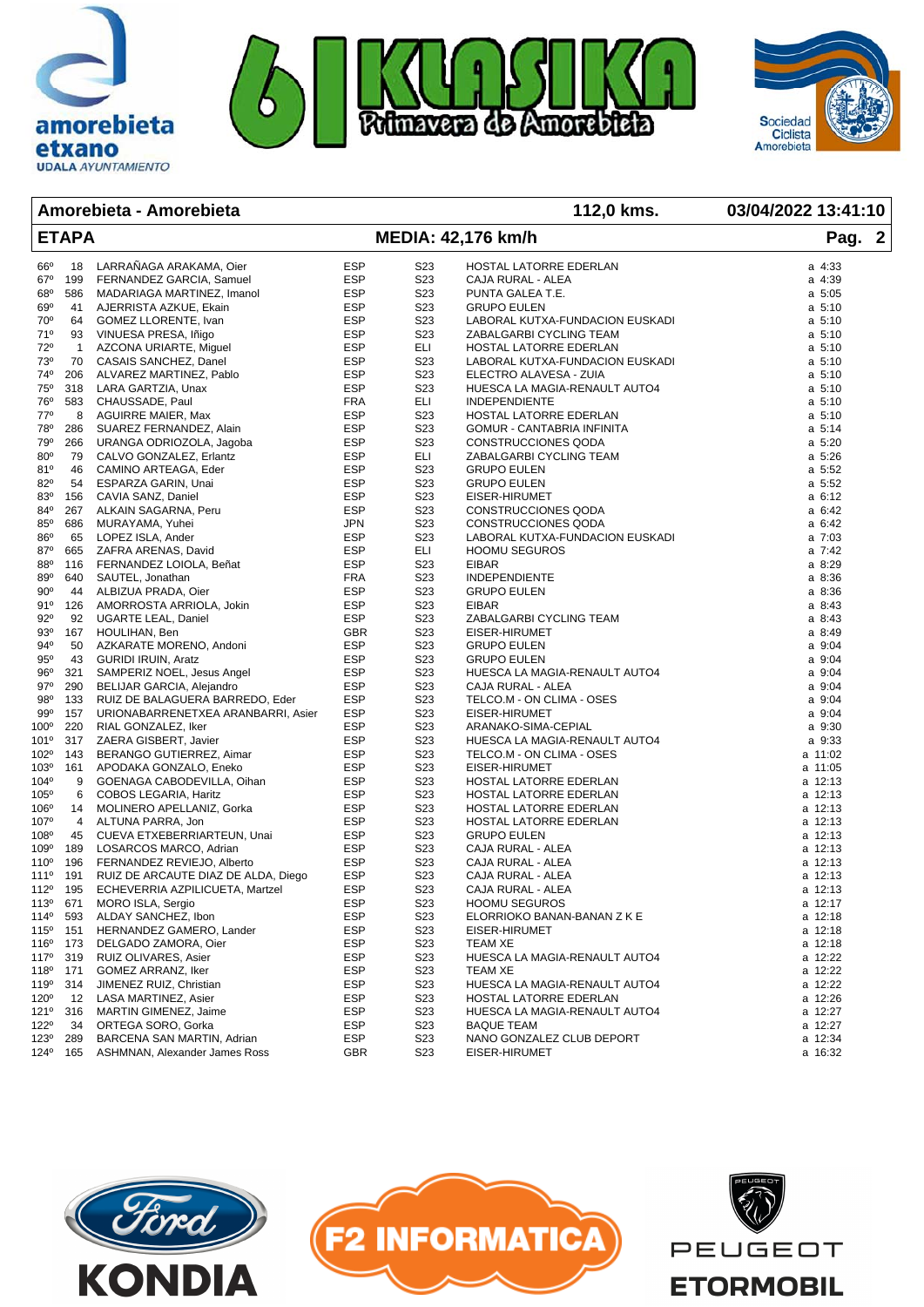



## **Amorebieta - Amorebieta 112,0 kms. 03/04/2022 13:41:10**

etxano

| <b>ETAPA</b>     |                |                                                              |                          | <b>MEDIA: 42,176 km/h</b>            | Pag. 2                                             |                  |
|------------------|----------------|--------------------------------------------------------------|--------------------------|--------------------------------------|----------------------------------------------------|------------------|
| 66°              | 18             | LARRAÑAGA ARAKAMA, Oier                                      | <b>ESP</b>               | S23                                  | HOSTAL LATORRE EDERLAN                             | a 4:33           |
| $67^\circ$       | 199            | FERNANDEZ GARCIA, Samuel                                     | <b>ESP</b>               | S <sub>2</sub> 3                     | CAJA RURAL - ALEA                                  | a 4:39           |
| $68^{\circ}$     | 586            | MADARIAGA MARTINEZ, Imanol                                   | ESP                      | S23                                  | PUNTA GALEA T.E.                                   | $a\,5:05$        |
| 69°              | 41             | AJERRISTA AZKUE, Ekain                                       | <b>ESP</b>               | S <sub>23</sub>                      | <b>GRUPO EULEN</b>                                 | $a \, 5:10$      |
| 70°              | 64             | GOMEZ LLORENTE, Ivan                                         | ESP                      | S23                                  | LABORAL KUTXA-FUNDACION EUSKADI                    | $a \, 5:10$      |
| 71°              | 93             | VINUESA PRESA, Iñigo                                         | ESP                      | S <sub>2</sub> 3                     | ZABALGARBI CYCLING TEAM                            | $a \, 5:10$      |
| 72°              | $\overline{1}$ | AZCONA URIARTE, Miguel                                       | <b>ESP</b>               | ELI                                  | HOSTAL LATORRE EDERLAN                             | $a \, 5:10$      |
| 73°              | 70             | CASAIS SANCHEZ, Danel                                        | <b>ESP</b>               | S <sub>23</sub>                      | LABORAL KUTXA-FUNDACION EUSKADI                    | a 5:10           |
| 74°              | 206            | ALVAREZ MARTINEZ, Pablo                                      | <b>ESP</b>               | S <sub>2</sub> 3                     | ELECTRO ALAVESA - ZUIA                             | $a \, 5:10$      |
| 75°              | 318            | LARA GARTZIA, Unax                                           | ESP                      | S <sub>2</sub> 3                     | HUESCA LA MAGIA-RENAULT AUTO4                      | $a \, 5:10$      |
| 76°              | 583            | CHAUSSADE, Paul                                              | FRA                      | ELI                                  | <b>INDEPENDIENTE</b>                               | $a \, 5:10$      |
| 77°              | 8              | <b>AGUIRRE MAIER, Max</b>                                    | <b>ESP</b>               | S <sub>2</sub> 3                     | HOSTAL LATORRE EDERLAN                             | $a \, 5:10$      |
| 78°              | 286            | SUAREZ FERNANDEZ, Alain                                      | <b>ESP</b>               | S <sub>2</sub> 3                     | GOMUR - CANTABRIA INFINITA                         | $a \t 5:14$      |
| 79°              | 266            | URANGA ODRIOZOLA, Jagoba                                     | ESP                      | S <sub>2</sub> 3                     | CONSTRUCCIONES QODA                                | a 5:20           |
| $80^\circ$       | 79             | CALVO GONZALEZ, Erlantz                                      | ESP                      | ELI                                  | ZABALGARBI CYCLING TEAM                            | a 5:26           |
| 81°              | 46             | CAMINO ARTEAGA, Eder                                         | ESP                      | S <sub>23</sub>                      | <b>GRUPO EULEN</b>                                 | a 5:52           |
| 82 <sup>o</sup>  | 54             | ESPARZA GARIN, Unai                                          | <b>ESP</b>               | S <sub>2</sub> 3                     | <b>GRUPO EULEN</b>                                 | a 5:52           |
| 83°              | 156            | CAVIA SANZ, Daniel                                           | <b>ESP</b>               | S <sub>2</sub> 3                     | EISER-HIRUMET                                      | a 6:12           |
| 84°              | 267            | ALKAIN SAGARNA, Peru                                         | <b>ESP</b>               | S <sub>2</sub> 3                     | CONSTRUCCIONES QODA                                | a 6:42           |
| $85^\circ$       | 686            | MURAYAMA, Yuhei                                              | <b>JPN</b>               | S <sub>2</sub> 3                     | CONSTRUCCIONES QODA                                | a 6:42           |
| 86°              | 65             | LOPEZ ISLA, Ander                                            | ESP                      | S <sub>2</sub> 3                     | LABORAL KUTXA-FUNDACION EUSKADI                    | $a \t 7:03$      |
| 87°              | 665            | ZAFRA ARENAS, David                                          | <b>ESP</b>               | ELI                                  | <b>HOOMU SEGUROS</b>                               | a 7:42           |
| 880              | 116            | FERNANDEZ LOIOLA, Beñat                                      | <b>ESP</b>               | S <sub>2</sub> 3                     | <b>EIBAR</b>                                       | a 8:29           |
| 89 <sup>°</sup>  | 640            | SAUTEL, Jonathan                                             | <b>FRA</b>               | S <sub>2</sub> 3                     | <b>INDEPENDIENTE</b>                               | a 8:36           |
| $90^{\circ}$     | 44             | ALBIZUA PRADA, Oier                                          | <b>ESP</b>               | S <sub>2</sub> 3                     | <b>GRUPO EULEN</b>                                 | a 8:36           |
| 91°              | 126            | AMORROSTA ARRIOLA, Jokin                                     | <b>ESP</b>               | S <sub>23</sub>                      | <b>EIBAR</b>                                       | a 8:43           |
| $92^{\circ}$     | 92             | <b>UGARTE LEAL, Daniel</b>                                   | <b>ESP</b>               | S <sub>23</sub>                      | ZABALGARBI CYCLING TEAM                            | a 8:43           |
| $93^{\circ}$     | 167            | HOULIHAN, Ben                                                | <b>GBR</b>               | S <sub>2</sub> 3                     | EISER-HIRUMET                                      | a 8:49           |
| 94°<br>95°       | 50<br>43       | AZKARATE MORENO, Andoni<br><b>GURIDI IRUIN, Aratz</b>        | <b>ESP</b><br><b>ESP</b> | S <sub>2</sub> 3<br>S <sub>2</sub> 3 | <b>GRUPO EULEN</b>                                 | a 9:04           |
| 96°              | 321            |                                                              | <b>ESP</b>               | S <sub>2</sub> 3                     | <b>GRUPO EULEN</b>                                 | a 9:04<br>a 9:04 |
| $97^\circ$       | 290            | SAMPERIZ NOEL, Jesus Angel                                   | <b>ESP</b>               | S <sub>23</sub>                      | HUESCA LA MAGIA-RENAULT AUTO4<br>CAJA RURAL - ALEA | a 9:04           |
| 98°              | 133            | BELIJAR GARCIA, Alejandro<br>RUIZ DE BALAGUERA BARREDO, Eder | <b>ESP</b>               | S <sub>2</sub> 3                     | TELCO.M - ON CLIMA - OSES                          | a 9:04           |
| 99°              | 157            | URIONABARRENETXEA ARANBARRI, Asier                           | <b>ESP</b>               | S <sub>2</sub> 3                     | EISER-HIRUMET                                      | a 9:04           |
| $100^\circ$      | 220            | RIAL GONZALEZ, Iker                                          | <b>ESP</b>               | S <sub>2</sub> 3                     | ARANAKO-SIMA-CEPIAL                                | a 9:30           |
| 101°             | 317            | ZAERA GISBERT, Javier                                        | <b>ESP</b>               | S23                                  | HUESCA LA MAGIA-RENAULT AUTO4                      | a 9:33           |
| 102°             | 143            | BERANGO GUTIERREZ, Aimar                                     | <b>ESP</b>               | S <sub>23</sub>                      | TELCO.M - ON CLIMA - OSES                          | a 11:02          |
| 103°             | 161            | APODAKA GONZALO, Eneko                                       | ESP                      | S <sub>2</sub> 3                     | EISER-HIRUMET                                      | a 11:05          |
| 104°             | 9              | GOENAGA CABODEVILLA, Oihan                                   | <b>ESP</b>               | S <sub>2</sub> 3                     | HOSTAL LATORRE EDERLAN                             | a 12:13          |
| $105^{\circ}$    | 6              | COBOS LEGARIA, Haritz                                        | <b>ESP</b>               | S <sub>2</sub> 3                     | HOSTAL LATORRE EDERLAN                             | a 12:13          |
| 106°             | 14             | MOLINERO APELLANIZ, Gorka                                    | <b>ESP</b>               | S <sub>2</sub> 3                     | HOSTAL LATORRE EDERLAN                             | a 12:13          |
| 107°             | 4              | ALTUNA PARRA, Jon                                            | <b>ESP</b>               | S <sub>2</sub> 3                     | HOSTAL LATORRE EDERLAN                             | a 12:13          |
| 108°             | 45             | CUEVA ETXEBERRIARTEUN, Unai                                  | <b>ESP</b>               | S <sub>23</sub>                      | <b>GRUPO EULEN</b>                                 | a 12:13          |
| 109°             | 189            | LOSARCOS MARCO, Adrian                                       | <b>ESP</b>               | S <sub>2</sub> 3                     | CAJA RURAL - ALEA                                  | a 12:13          |
| $110^{\circ}$    | 196            | FERNANDEZ REVIEJO, Alberto                                   | <b>ESP</b>               | S <sub>2</sub> 3                     | CAJA RURAL - ALEA                                  | a 12:13          |
| 111º             | 191            | RUIZ DE ARCAUTE DIAZ DE ALDA, Diego                          | <b>ESP</b>               | S <sub>2</sub> 3                     | CAJA RURAL - ALEA                                  | a 12:13          |
| 112°             | 195            | ECHEVERRIA AZPILICUETA, Martzel                              | <b>ESP</b>               | S <sub>2</sub> 3                     | CAJA RURAL - ALEA                                  | a 12:13          |
| 113º             | 671            | MORO ISLA, Sergio                                            | <b>ESP</b>               | S <sub>2</sub> 3                     | <b>HOOMU SEGUROS</b>                               | a 12:17          |
| 114º             | 593            | ALDAY SANCHEZ, Ibon                                          | ESP                      | S23                                  | ELORRIOKO BANAN-BANAN Z K E                        | a 12:18          |
| 115º             | 151            | HERNANDEZ GAMERO, Lander                                     | <b>ESP</b>               | S <sub>2</sub> 3                     | EISER-HIRUMET                                      | a 12:18          |
| 116º             | 173            | DELGADO ZAMORA, Oier                                         | <b>ESP</b>               | S23                                  | <b>TEAM XE</b>                                     | a 12:18          |
| 117°             | 319            | RUIZ OLIVARES, Asier                                         | <b>ESP</b>               | S23                                  | HUESCA LA MAGIA-RENAULT AUTO4                      | a 12:22          |
| 118º             | 171            | GOMEZ ARRANZ, Iker                                           | <b>ESP</b>               | S23                                  | <b>TEAM XE</b>                                     | a 12:22          |
| 119º             | 314            | JIMENEZ RUIZ, Christian                                      | <b>ESP</b>               | S <sub>2</sub> 3                     | HUESCA LA MAGIA-RENAULT AUTO4                      | a 12:22          |
| 120°             | 12             | LASA MARTINEZ, Asier                                         | ESP                      | S <sub>2</sub> 3                     | HOSTAL LATORRE EDERLAN                             | a 12:26          |
| 121º             | 316            | MARTIN GIMENEZ, Jaime                                        | ESP                      | S <sub>2</sub> 3                     | HUESCA LA MAGIA-RENAULT AUTO4                      | a 12:27          |
| 122 <sup>o</sup> | 34             | ORTEGA SORO, Gorka                                           | <b>ESP</b>               | S <sub>2</sub> 3                     | <b>BAQUE TEAM</b>                                  | a 12:27          |
| 123º             | 289            | BARCENA SAN MARTIN, Adrian                                   | ESP                      | S <sub>2</sub> 3                     | NANO GONZALEZ CLUB DEPORT                          | a 12:34          |
|                  | 124º 165       | ASHMNAN, Alexander James Ross                                | GBR                      | S <sub>2</sub> 3                     | EISER-HIRUMET                                      | a 16:32          |